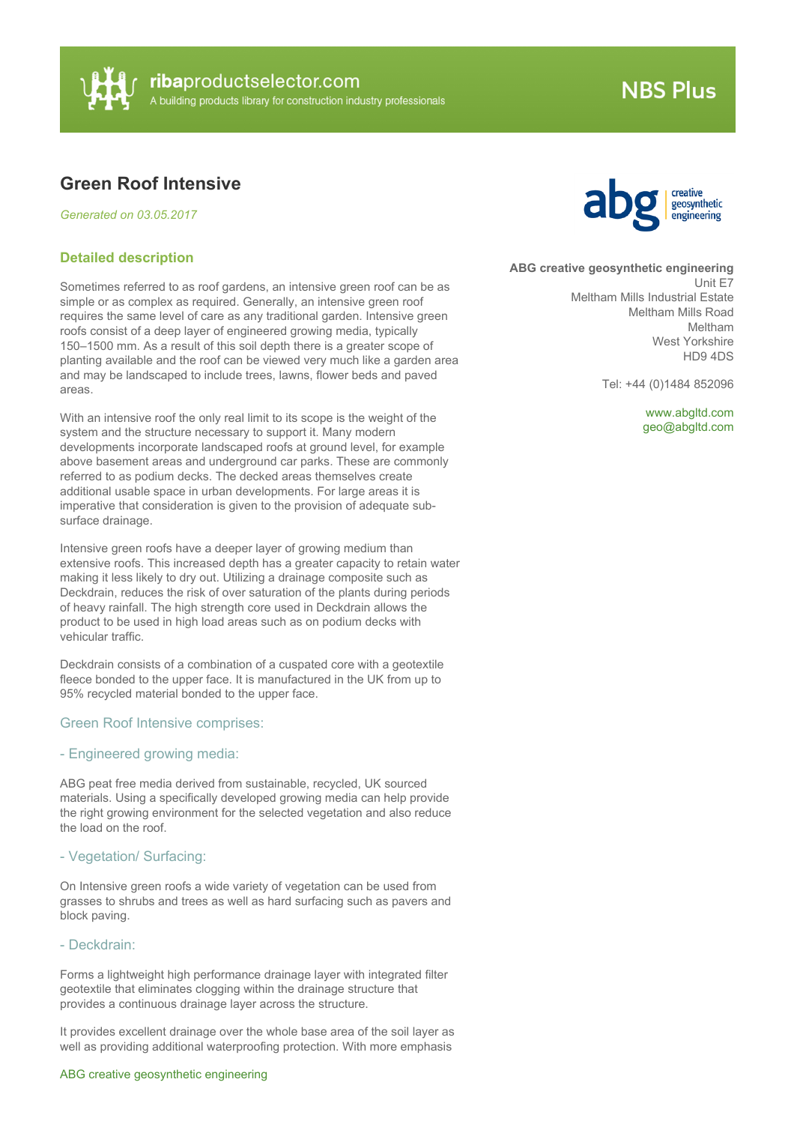

# **NBS Plus**

# **Green Roof Intensive**

*Generated on 03.05.2017*

#### **Detailed description**

Sometimes referred to as roof gardens, an intensive green roof can be as simple or as complex as required. Generally, an intensive green roof requires the same level of care as any traditional garden. Intensive green roofs consist of a deep layer of engineered growing media, typically 150–1500 mm. As a result of this soil depth there is a greater scope of planting available and the roof can be viewed very much like a garden area and may be landscaped to include trees, lawns, flower beds and paved areas.

With an intensive roof the only real limit to its scope is the weight of the system and the structure necessary to support it. Many modern developments incorporate landscaped roofs at ground level, for example above basement areas and underground car parks. These are commonly referred to as podium decks. The decked areas themselves create additional usable space in urban developments. For large areas it is imperative that consideration is given to the provision of adequate subsurface drainage.

Intensive green roofs have a deeper layer of growing medium than extensive roofs. This increased depth has a greater capacity to retain water making it less likely to dry out. Utilizing a drainage composite such as Deckdrain, reduces the risk of over saturation of the plants during periods of heavy rainfall. The high strength core used in Deckdrain allows the product to be used in high load areas such as on podium decks with vehicular traffic.

Deckdrain consists of a combination of a cuspated core with a geotextile fleece bonded to the upper face. It is manufactured in the UK from up to 95% recycled material bonded to the upper face.

#### Green Roof Intensive comprises:

# - Engineered growing media:

ABG peat free media derived from sustainable, recycled, UK sourced materials. Using a specifically developed growing media can help provide the right growing environment for the selected vegetation and also reduce the load on the roof.

#### - Vegetation/ Surfacing:

On Intensive green roofs a wide variety of vegetation can be used from grasses to shrubs and trees as well as hard surfacing such as pavers and block paving.

#### - Deckdrain:

Forms a lightweight high performance drainage layer with integrated filter geotextile that eliminates clogging within the drainage structure that provides a continuous drainage layer across the structure.

It provides excellent drainage over the whole base area of the soil layer as well as providing additional waterproofing protection. With more emphasis

#### ABG creative geosynthetic engineering



#### **ABG creative geosynthetic engineering**

Unit E7 Meltham Mills Industrial Estate Meltham Mills Road Meltham West Yorkshire HD9 4DS

Tel: +44 (0)1484 852096

<www.abgltd.com> [geo@abgltd.com](mailto:geo@abgltd.com?subject=Green Roof Intensive)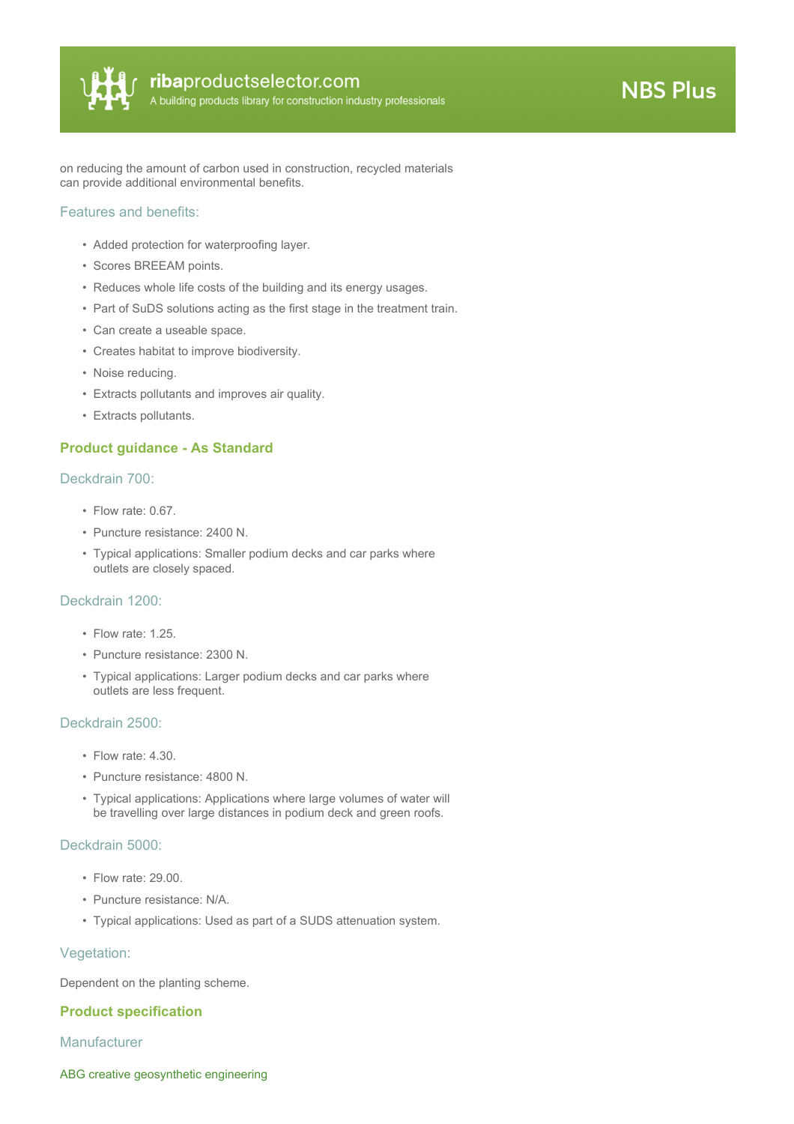

on reducing the amount of carbon used in construction, recycled materials can provide additional environmental benefits.

#### Features and benefits:

- Added protection for waterproofing layer.
- Scores BREEAM points.
- Reduces whole life costs of the building and its energy usages.
- Part of SuDS solutions acting as the first stage in the treatment train.
- Can create a useable space.
- Creates habitat to improve biodiversity.
- Noise reducing.
- Extracts pollutants and improves air quality.
- Extracts pollutants.

## **Product guidance - As Standard**

#### Deckdrain 700:

- Flow rate: 0.67.
- Puncture resistance: 2400 N.
- Typical applications: Smaller podium decks and car parks where outlets are closely spaced.

#### Deckdrain 1200:

- Flow rate: 1.25.
- Puncture resistance: 2300 N.
- Typical applications: Larger podium decks and car parks where outlets are less frequent.

#### Deckdrain 2500:

- Flow rate: 4.30.
- Puncture resistance: 4800 N.
- Typical applications: Applications where large volumes of water will be travelling over large distances in podium deck and green roofs.

#### Deckdrain 5000:

- Flow rate: 29.00.
- Puncture resistance: N/A.
- Typical applications: Used as part of a SUDS attenuation system.

#### Vegetation:

Dependent on the planting scheme.

## **Product specification**

#### **Manufacturer**

ABG creative geosynthetic engineering